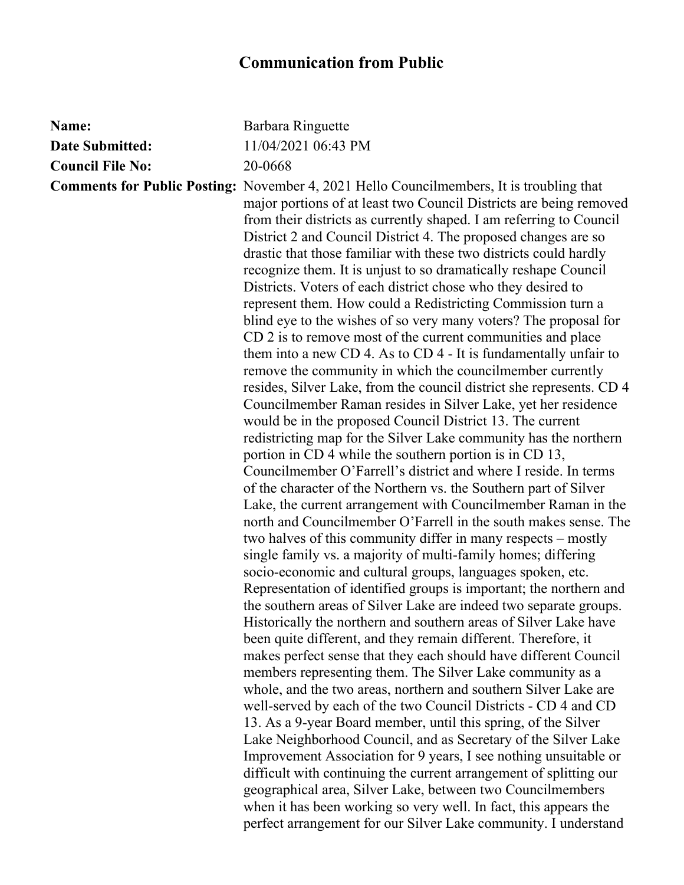## **Communication from Public**

| Name:                   | Barbara Ringuette                                                                                                                                                                                                                                                                                                                                                                                                                                                                                                                                                                                                                                                                                                                                                                                                                                                                                                                                                                                                                                                                                                                                                                                                                                                                                                                                                                                                                                                                                                                                                                                                                                                                                                                                                                                                                                                                                                                                                                                                                                                                                                                                                                                                                                                                                                                                                                                                                                                                                              |
|-------------------------|----------------------------------------------------------------------------------------------------------------------------------------------------------------------------------------------------------------------------------------------------------------------------------------------------------------------------------------------------------------------------------------------------------------------------------------------------------------------------------------------------------------------------------------------------------------------------------------------------------------------------------------------------------------------------------------------------------------------------------------------------------------------------------------------------------------------------------------------------------------------------------------------------------------------------------------------------------------------------------------------------------------------------------------------------------------------------------------------------------------------------------------------------------------------------------------------------------------------------------------------------------------------------------------------------------------------------------------------------------------------------------------------------------------------------------------------------------------------------------------------------------------------------------------------------------------------------------------------------------------------------------------------------------------------------------------------------------------------------------------------------------------------------------------------------------------------------------------------------------------------------------------------------------------------------------------------------------------------------------------------------------------------------------------------------------------------------------------------------------------------------------------------------------------------------------------------------------------------------------------------------------------------------------------------------------------------------------------------------------------------------------------------------------------------------------------------------------------------------------------------------------------|
| <b>Date Submitted:</b>  | 11/04/2021 06:43 PM                                                                                                                                                                                                                                                                                                                                                                                                                                                                                                                                                                                                                                                                                                                                                                                                                                                                                                                                                                                                                                                                                                                                                                                                                                                                                                                                                                                                                                                                                                                                                                                                                                                                                                                                                                                                                                                                                                                                                                                                                                                                                                                                                                                                                                                                                                                                                                                                                                                                                            |
| <b>Council File No:</b> | 20-0668                                                                                                                                                                                                                                                                                                                                                                                                                                                                                                                                                                                                                                                                                                                                                                                                                                                                                                                                                                                                                                                                                                                                                                                                                                                                                                                                                                                                                                                                                                                                                                                                                                                                                                                                                                                                                                                                                                                                                                                                                                                                                                                                                                                                                                                                                                                                                                                                                                                                                                        |
|                         | <b>Comments for Public Posting:</b> November 4, 2021 Hello Councilmembers, It is troubling that<br>major portions of at least two Council Districts are being removed<br>from their districts as currently shaped. I am referring to Council<br>District 2 and Council District 4. The proposed changes are so<br>drastic that those familiar with these two districts could hardly<br>recognize them. It is unjust to so dramatically reshape Council<br>Districts. Voters of each district chose who they desired to<br>represent them. How could a Redistricting Commission turn a<br>blind eye to the wishes of so very many voters? The proposal for<br>CD 2 is to remove most of the current communities and place<br>them into a new CD 4. As to CD 4 - It is fundamentally unfair to<br>remove the community in which the councilmember currently<br>resides, Silver Lake, from the council district she represents. CD 4<br>Councilmember Raman resides in Silver Lake, yet her residence<br>would be in the proposed Council District 13. The current<br>redistricting map for the Silver Lake community has the northern<br>portion in CD 4 while the southern portion is in CD 13,<br>Councilmember O'Farrell's district and where I reside. In terms<br>of the character of the Northern vs. the Southern part of Silver<br>Lake, the current arrangement with Councilmember Raman in the<br>north and Councilmember O'Farrell in the south makes sense. The<br>two halves of this community differ in many respects – mostly<br>single family vs. a majority of multi-family homes; differing<br>socio-economic and cultural groups, languages spoken, etc.<br>Representation of identified groups is important; the northern and<br>the southern areas of Silver Lake are indeed two separate groups.<br>Historically the northern and southern areas of Silver Lake have<br>been quite different, and they remain different. Therefore, it<br>makes perfect sense that they each should have different Council<br>members representing them. The Silver Lake community as a<br>whole, and the two areas, northern and southern Silver Lake are<br>well-served by each of the two Council Districts - CD 4 and CD<br>13. As a 9-year Board member, until this spring, of the Silver<br>Lake Neighborhood Council, and as Secretary of the Silver Lake<br>Improvement Association for 9 years, I see nothing unsuitable or<br>difficult with continuing the current arrangement of splitting our |
|                         | geographical area, Silver Lake, between two Councilmembers<br>when it has been working so very well. In fact, this appears the                                                                                                                                                                                                                                                                                                                                                                                                                                                                                                                                                                                                                                                                                                                                                                                                                                                                                                                                                                                                                                                                                                                                                                                                                                                                                                                                                                                                                                                                                                                                                                                                                                                                                                                                                                                                                                                                                                                                                                                                                                                                                                                                                                                                                                                                                                                                                                                 |
|                         | perfect arrangement for our Silver Lake community. I understand                                                                                                                                                                                                                                                                                                                                                                                                                                                                                                                                                                                                                                                                                                                                                                                                                                                                                                                                                                                                                                                                                                                                                                                                                                                                                                                                                                                                                                                                                                                                                                                                                                                                                                                                                                                                                                                                                                                                                                                                                                                                                                                                                                                                                                                                                                                                                                                                                                                |